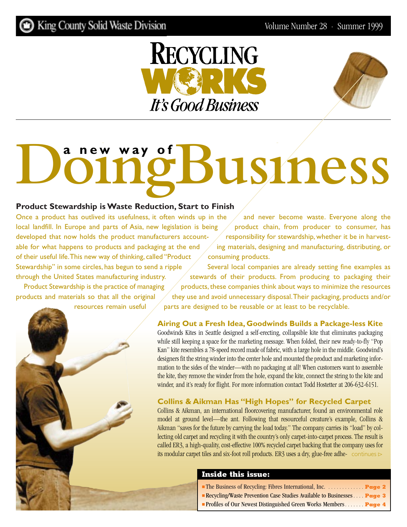<span id="page-0-0"></span>



# **DoingBusiness a new way of**

#### **Product Stewardship is Waste Reduction, Start to Finish**

Once a product has outlived its usefulness, it often winds up in the local landfill. In Europe and parts of Asia, new legislation is being developed that now holds the product manufacturers accountable for what happens to products and packaging at the end of their useful life.This new way of thinking, called "Product Stewardship" in some circles, has begun to send a ripple through the United States manufacturing industry.

Product Stewardship is the practice of managing products and materials so that all the original

resources remain useful



and never become waste. Everyone along the product chain, from producer to consumer, has responsibility for stewardship, whether it be in harvesting materials, designing and manufacturing, distributing, or consuming products.

Several local companies are already setting fine examples as stewards of their products. From producing to packaging their products, these companies think about ways to minimize the resources they use and avoid unnecessary disposal.Their packaging, products and/or parts are designed to be reusable or at least to be recyclable.

#### **Airing Out a Fresh Idea, Goodwinds Builds a Package-less Kite**

Goodwinds Kites in Seattle designed a self-erecting, collapsible kite that eliminates packaging while still keeping a space for the marketing message. When folded, their new ready-to-fly "Pop Kan" kite resembles a 78-speed record made of fabric, with a large hole in the middle. Goodwind's designers fit the string winder into the center hole and mounted the product and marketing information to the sides of the winder—with no packaging at all! When customers want to assemble the kite, they remove the winder from the hole, expand the kite, connect the string to the kite and winder, and it's ready for flight. For more information contact Todd Hostetter at 206-632-6151.

#### **Collins & Aikman Has "High Hopes" for Recycled Carpet**

Collins & Aikman, an international floorcovering manufacturer, found an environmental role model at ground level—the ant. Following that resourceful creature's example, Collins & Aikman "saves for the future by carrying the load today." The company carries its "load" by collecting old carpet and recycling it with the country's only carpet-into-carpet process. The result is called ER3, a high-quality, cost-effective 100% recycled carpet backing that the company uses for its modular carpet tiles and six-foot roll products. ER3 uses a dry, glue-free adhe- [continues](#page-1-0)  $\triangleright$ 

#### **Inside this issue:**

- [The Business of Recycling: Fibres International, Inc.](#page-1-0) *. . . . . . . . . . . . .* **Page 2**
- [Recycling/Waste Prevention Case Studies Available to Businesses](#page-2-0) *. . . .* **Page 3**
- [Profiles of Our Newest Distinguished Green Works Members](#page-3-0) *. . . . . . .* **Page 4**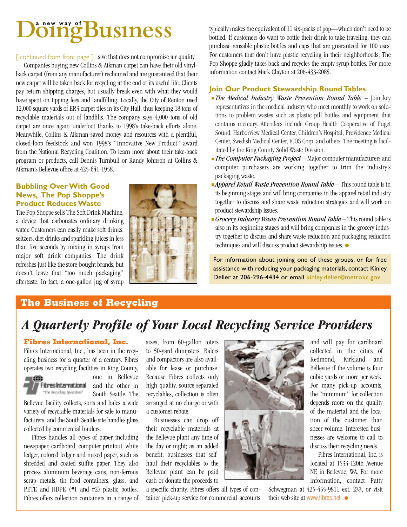## <span id="page-1-0"></span>**DingBusiness**

 $\lceil$  continued from front page  $\rceil$  sive that does not compromise air quality.

Companies buying new Collins & Aikman carpet can have their old vinylback carpet (from any manufacturer) reclaimed and are guaranteed that their new carpet will be taken back for recycling at the end of its useful life. Clients pay return shipping charges, but usually break even with what they would have spent on tipping fees and landfilling. Locally, the City of Renton used 12,000 square yards of ER3 carpet tiles in its City Hall, thus keeping 18 tons of recyclable materials out of landfills. The company says 4,000 tons of old carpet are once again underfoot thanks to 1998's take-back efforts alone. Meanwhile, Collins & Aikman saved money and resources with a plentiful, closed-loop feedstock and won 1998's "Innovative New Product" award from the National Recycling Coalition. To learn more about their take-back program or products, call Dennis Turnbull or Randy Johnson at Collins & Aikman's Bellevue office at 425-641-1958.

#### **Bubbling Over With Good News, The Pop Shoppe's Product Reduces Waste**

The Pop Shoppe sells The Soft Drink Machine, a device that carbonates ordinary drinking water. Customers can easily make soft drinks, seltzers, diet drinks and sparkling juices in less than five seconds by mixing in syrups from major soft drink companies. The drink refreshes just like the store-bought brands, but doesn't leave that "too much packaging" aftertaste. In fact, a one-gallon jug of syrup



typically makes the equivalent of 11 six-packs of pop—which don't need to be bottled. If customers do want to bottle their drink to take traveling, they can purchase reusable plastic bottles and caps that are guaranteed for 100 uses. For customers that don't have plastic recycling in their neighborhoods, The Pop Shoppe gladly takes back and recycles the empty syrup bottles. For more information contact Mark Clayton at 206-433-2085.

#### **Join Our Product Stewardship Round Tables**

- *The Medical Industry Waste Prevention Round Table*  Join key representatives in the medical industry who meet monthly to work on solutions to problem wastes such as plastic pill bottles and equipment that contains mercury. Attendees include Group Health Cooperative of Puget Sound, Harborview Medical Center, Children's Hospital, Providence Medical Center, Swedish Medical Center, ICOS Corp. and others. The meeting is facilitated by the King County Solid Waste Division.
- *The Computer Packaging Project*  Major computer manufacturers and computer purchasers are working together to trim the industry's packaging waste.
- *Apparel Retail Waste Prevention Round Table* This round table is in its beginning stages and will bring companies in the apparel retail industry together to discuss and share waste reduction strategies and will work on product stewardship issues.
- **Grocery Industry Waste Prevention Round Table This round table is** also in its beginning stages and will bring companies in the grocery industry together to discuss and share waste reduction and packaging reduction techniques and will discuss product stewardship issues. ●

For information about joining one of these groups, or for free assistance with reducing your packaging materials, contact Kinley Deller at 206-296-4434 or email kinley.deller@metrokc.gov.

#### **The Business of Recycling**

## *A Quarterly Profile of Your Local Recycling Service Providers*

#### **Fibres International, Inc.**

Fibres International, Inc., has been in the recycling business for a quarter of a century. Fibres operates two recycling facilities in King County,



one in Bellevue **Fibres International** and the other in South Seattle. The

Bellevue facility collects, sorts and bales a wide variety of recyclable materials for sale to manufacturers, and the South Seattle site handles glass collected by commercial haulers.

Fibres handles all types of paper including newspaper, cardboard, computer printout, white ledger, colored ledger and mixed paper, such as shredded and coated sulfite paper. They also process aluminum beverage cans, non-ferrous scrap metals, tin food containers, glass, and PETE and HDPE (#1 and #2) plastic bottles. Fibres offers collection containers in a range of sizes, from 60-gallon toters to 50-yard dumpsters. Balers and compactors are also available for lease or purchase. Because Fibres collects only high quality, source-separated recyclables, collection is often arranged at no charge or with a customer rebate.

Businesses can drop off their recyclable materials at the Bellevue plant any time of the day or night; as an added benefit, businesses that selfhaul their recyclables to the Bellevue plant can be paid cash or donate the proceeds to

a specific charity. Fibres offers all types of container pick-up service for commercial accounts



and will pay for cardboard collected in the cities of Redmond, Kirkland and Bellevue if the volume is four cubic yards or more per week. For many pick-up accounts, the "minimum" for collection depends more on the quality of the material and the location of the customer than sheer volume. Interested businesses are welcome to call to discuss their recycling needs.

Fibres International, Inc. is located at 1533-120th Avenue NE in Bellevue, WA. For more information, contact Patty

Schwegman at 425-455-9811 ext. 233, or visit their web site at [www.fibres.net](http://www.fibres.net) . ●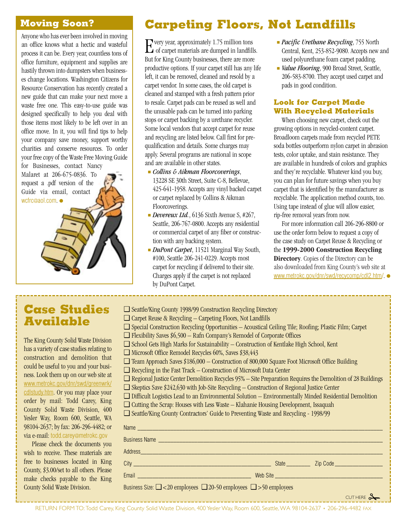#### <span id="page-2-0"></span>**Moving Soon?**

Anyone who has ever been involved in moving an office knows what a hectic and wasteful process it can be. Every year, countless tons of office furniture, equipment and supplies are hastily thrown into dumpsters when businesses change locations. Washington Citizens for Resource Conservation has recently created a new guide that can make your next move a waste free one. This easy-to-use guide was designed specifically to help you deal with those items most likely to be left over in an office move. In it, you will find tips to help your company save money, support worthy charities and conserve resources. To order your free copy of the Waste Free Moving Guide

for Businesses, contact Nancy Malaret at 206-675-0836. To request a .pdf version of the Guide via email, contact wcfrc@aol.com ●



## **Carpeting Floors, Not Landfills**

Every year, approximately 1.75 million tons<br>of carpet materials are dumped in landfills. But for King County businesses, there are more productive options. If your carpet still has any life left, it can be removed, cleaned and resold by a carpet vendor. In some cases, the old carpet is cleaned and stamped with a fresh pattern prior to resale. Carpet pads can be reused as well and the unusable pads can be turned into parking stops or carpet backing by a urethane recycler. Some local vendors that accept carpet for reuse and recycling are listed below. Call first for prequalification and details. Some charges may apply. Several programs are national in scope and are available in other states.

- *Collins & Aikman Floorcoverings*, 13228 SE 30th Street, Suite C-8, Bellevue, 425-641-1958. Accepts any vinyl backed carpet or carpet replaced by Collins & Aikman Floorcoverings.
- *Devereux Ltd.*, 6136 Sixth Avenue S, #267, Seattle, 206-767-0800. Accepts any residential or commercial carpet of any fiber or construction with any backing system.
- *DuPont Carpet*, 11521 Marginal Way South, #100, Seattle 206-241-0229. Accepts most carpet for recycling if delivered to their site. Charges apply if the carpet is not replaced by DuPont Carpet.
- *Pacific Urethane Recycling*, 755 North Central, Kent, 253-852-9080. Accepts new and used polyurethane foam carpet padding.
- *Value Flooring*, 900 Broad Street, Seattle, 206-583-8700. They accept used carpet and pads in good condition.

#### **Look for Carpet Made With Recycled Materials**

When choosing new carpet, check out the growing options in recycled-content carpet. Broadloom carpets made from recycled PETE soda bottles outperform nylon carpet in abrasion tests, color uptake, and stain resistance. They are available in hundreds of colors and graphics and they're recyclable. Whatever kind you buy, you can plan for future savings when you buy carpet that is identified by the manufacturer as recyclable. The application method counts, too. Using tape instead of glue will allow easier, rip-free removal years from now.

For more information call 206-296-8800 or use the order form below to request a copy of the case study on Carpet Reuse & Recycling or the **1999-2000 Construction Recycling Directory**. Copies of the Directory can be also downloaded from King County's web site at [www.metrokc.gov/dnr/swd/recycomp/cdl2.htm/](http://www.metrokc.gov/dnr/swd/recycomp/cdl2.htm/). ●

## **Case Studies Available**

The King County Solid Waste Division has a variety of case studies relating to construction and demolition that could be useful to you and your business. Look them up on our web site at [www.metrokc.gov/dnr/swd/greenwrk/](http://www.metrokc.gov/dnr/swd/greenwrk/cdlstudy.htm) [cdlstudy.htm](http://www.metrokc.gov/dnr/swd/greenwrk/cdlstudy.htm). Or you may place your order by mail: Todd Carey, King County Solid Waste Division, 400 Yesler Way, Room 600, Seattle, WA 98104-2637; by fax: 206-296-4482; or via e-mail: todd.carey@metrokc.gov

Please check the documents you wish to receive. These materials are free to businesses located in King County, \$3.00/set to all others. Please make checks payable to the King County Solid Waste Division.

- ❑ Seattle/King County 1998/99 Construction Recycling Directory
- ❑ Carpet Reuse & Recycling Carpeting Floors, Not Landfills
- ❑ Special Construction Recycling Opportunities Acoustical Ceiling Tile; Roofing; Plastic Film; Carpet
- $\Box$  Flexibility Saves  $$6,500 \text{Rafn Company's Remodel of Corporate Office}$
- ❑ School Gets High Marks for Sustainability Construction of Kentlake High School, Kent
- ❑ Microsoft Office Remodel Recycles 60%, Saves \$38,443
- ❑ Team Approach Saves \$186,000 Construction of 800,000 Square Foot Microsoft Office Building
- ❑ Recycling in the Fast Track Construction of Microsoft Data Center
- ❑ Regional Justice Center Demolition Recycles 95% Site Preparation Requires the Demolition of 28 Buildings
- ❑ Skeptics Save \$242,630 with Job-Site Recycling Construction of Regional Justice Center
- ❑ Difficult Logistics Lead to an Environmental Solution Environmentally Minded Residential Demolition
	- ❑ Cutting the Scrap: Houses with Less Waste Klahanie Housing Development, Issaquah
	- ❑ Seattle/King County Contractors' Guide to Preventing Waste and Recycling 1998/99

| Name                                                                                                                                                                                                                                 |          |                       |
|--------------------------------------------------------------------------------------------------------------------------------------------------------------------------------------------------------------------------------------|----------|-----------------------|
|                                                                                                                                                                                                                                      |          |                       |
|                                                                                                                                                                                                                                      |          |                       |
|                                                                                                                                                                                                                                      |          |                       |
| Email <u>and the community of the community of the community of the community of the community of the community of the community of the community of the community of the community of the community of the community of the com</u> | Web Site |                       |
| Business Size: $\Box$ < 20 employees $\Box$ 20-50 employees $\Box$ > 50 employees                                                                                                                                                    |          |                       |
|                                                                                                                                                                                                                                      |          | CUTHERE $\mathcal{L}$ |
|                                                                                                                                                                                                                                      |          |                       |

RETURN FORM TO: Todd Carey, King County Solid Waste Division, 400 Yesler Way, Room 600, Seattle,WA 98104-2637 • 206-296-4482 FAX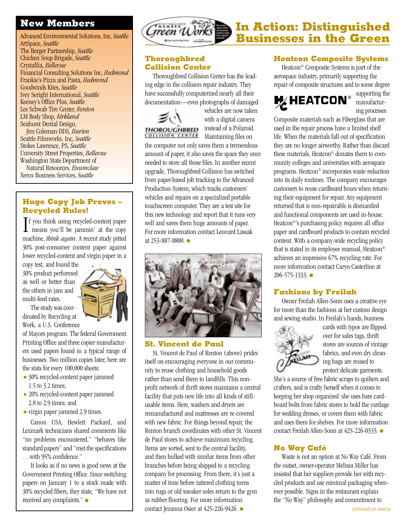#### <span id="page-3-0"></span>**New Members**

Advanced Environmental Solutions, Inc, *Seattle* ArtSpace, *Seattle* The Berger Partnership, *Seattle* Chicken Soup Brigade, *Seattle* Crystallia, *Bellevue* Financial Consulting Solutions Inc, *Redmond* Frankie's Pizza and Pasta, *Redmond* Goodwinds Kites, *Seattle* Ivey Seright International, *Seattle* Keeney's Office Plus, *Seattle* Les Schwab Tire Center, *Renton* LM Body Shop, *Kirkland* Seahurst Dental Design, Jim Coleman DDS, *Burien*

Seattle Filmworks, Inc, *Seattle* Stokes Lawrence, PS, *Seattle* University Street Properties, *Bellevue* Washington State Department of

Natural Resources, *Enumclaw* Xerox Business Services, *Seattle*

#### **Huge Copy Job Proves – Recycled Rules!**

 $\prod$  f you think using recycled-content paper<br>means you'll be jammin' at the copy means you'll be jammin' at the copy machine, *think again*. A recent study pitted 30% post-consumer content paper against lower recycled-content and virgin paper in a

copy test, and found the 30% product performed as well or better than the others in jam and multi-feed rates.

The study was coordinated by Recycling at Work, a U.S. Conference

of Mayors program. The federal Government Printing Office and three copier manufacturers used papers found in a typical range of businesses. Two million copies later, here are the stats for every 100,000 sheets:

- 30% recycled-content paper jammed 1.5 to 3.2 times;
- 20% recycled-content paper jammed 2.8 to 2.9 times; and
- virgin paper jammed 2.9 times.

Canon USA, Hewlett Packard, and Lexmark technicians shared comments like "no problems encountered," "behaves like standard papers" and "met the specifications …with 95% confidence."

It looks as if no news is good news at the Government Printing Office. Since switching papers on January 1 to a stock made with 30% recycled fibers, they state, "We have not received any complaints." ●



#### **Thoroughbred Collision Center**

Thoroughbred Collision Center has the leading edge in the collision repair industry. They have successfully computerized nearly all their documentation—even photographs of damaged



vehicles are now taken with a digital camera instead of a Polaroid. **COLLISION CENTER** Maintaining files on

the computer not only saves them a tremendous amount of paper, it also saves the space they once needed to store all those files. In another recent upgrade, Thoroughbred Collision has switched from paper-based job tracking to the Advanced Production System, which tracks customers' vehicles and repairs on a specialized portable touchscreen computer. They are a test site for this new technology and report that it runs very well and saves them huge amounts of paper. For more information contact Leonard Lassak at 253-887-8800. ●



#### **St. Vincent de Paul**

St. Vincent de Paul of Renton (above) prides itself on encouraging everyone in our community to reuse clothing and household goods rather than send them to landfills. This nonprofit network of thrift stores maintains a central facility that puts new life into all kinds of stillusable items. Here, washers and dryers are remanufactured and mattresses are re-covered with new fabric. For things beyond repair, the Renton branch coordinates with other St. Vincent de Paul stores to achieve maximum recycling. Items are sorted, sent to the central facility, and then bulked with similar items from other branches before being shipped to a recycling company for processing. From there, it's just a matter of time before tattered clothing turns into rugs or old sneaker soles return to the gym as rubber flooring. For more information contact Jezanna Osier at 425-226-9426. ●

#### **Heatcon Composite Systems**

Heatcon® Composite Systems is part of the aerospace industry, primarily supporting the repair of composite structures and to some degree



supporting the manufacturing processes.

Composite materials such as Fiberglass that are used in the repair process have a limited shelf life. When the materials fall out of specification they are no longer airworthy. Rather than discard these materials, Heatcon® donates them to community colleges and universities with aerospace programs. Heatcon® incorporates waste reduction into its daily routines. The company encourages customers to reuse cardboard boxes when returning their equipment for repair. Any equipment returned that is non-repairable is dismantled and functional components are used in-house. Heatcon®'s purchasing policy requires all office paper and cardboard products to contain recycled content. With a company-wide recycling policy that is stated in its employee manual, Heatcon® achieves an impressive 67% recycling rate. For more information contact Caryn Casterline at 206-575-1333. ●

#### **Fashions by Freilah**

Owner Freilah Allen-Sonn uses a creative eye for more than the fashions at her custom design and sewing studio. In Freilah's hands, business



cards with typos are flipped over for sales tags, thrift stores are sources of vintage fabrics, and even dry cleaning bags are reused to protect delicate garments.

She's a source of free fabric scraps to quilters and crafters, and is crafty herself when it comes to keeping her shop organized: she uses bare cardboard bolts from fabric stores to hold the yardage for wedding dresses, or covers them with fabric and uses them for shelves. For more information contact Freilah Allen-Sonn at 425-226-0333. ●

#### **No Way Café**

Waste is not an option at No Way Café. From the outset, owner-operator Melissa Miller has insisted that her suppliers provide her with recycled products and use minimal packaging whenever possible. Signs in the restaurant explain the "No Way" philosophy and commitment to

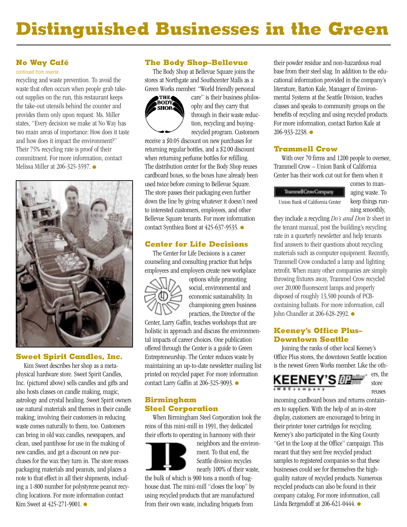## <span id="page-4-0"></span>**Distinguished Businesses in the Green**

#### **No Way Café**

#### [continued from reverse](#page-3-0)

recycling and waste prevention. To avoid the waste that often occurs when people grab takeout supplies on the run, this restaurant keeps the take-out utensils behind the counter and provides them only upon request. Ms. Miller states, "Every decision we make at No Way has two main areas of importance: How does it taste and how does it impact the environment?" Their 75% recycling rate is proof of their commitment. For more information, contact Melissa Miller at 206-325-3597. ●



#### **Sweet Spirit Candles, Inc.**

Kim Sweet describes her shop as a metaphysical hardware store. Sweet Spirit Candles, Inc. (pictured above) sells candles and gifts and also hosts classes on candle making, magic, astrology and crystal healing. Sweet Spirit owners use natural materials and themes in their candle making; involving their customers in reducing waste comes naturally to them, too. Customers can bring in old wax candles, newspapers, and clean, used pantihose for use in the making of new candles, and get a discount on new purchases for the wax they turn in. The store reuses packaging materials and peanuts, and places a note to that effect in all their shipments, including a 1-800 number for polystyrene peanut recycling locations. For more information contact Kim Sweet at 425-271-9001. ●

#### **The Body Shop–Bellevue**

The Body Shop at Bellevue Square joins the stores at Northgate and Southcenter Malls as a Green Works member. "World friendly personal



care" is their business philosophy and they carry that through in their waste reduction, recycling and buyingrecycled program. Customers

receive a \$0.05 discount on new purchases for returning regular bottles, and a \$2.00 discount when returning perfume bottles for refilling. The distribution center for the Body Shop reuses cardboard boxes, so the boxes have already been used twice before coming to Bellevue Square. The store passes their packaging even further down the line by giving whatever it doesn't need to interested customers, employees, and other Bellevue Square tenants. For more information contact Synthiea Borst at 425-637-9535. ●

#### **Center for Life Decisions**

The Center for Life Decisions is a career counseling and consulting practice that helps employees and employers create new workplace



options while promoting social, environmental and economic sustainability. In championing green business practices, the Director of the

Center, Larry Gaffin, teaches workshops that are holistic in approach and discuss the environmental impacts of career choices. One publication offered through the Center is a guide to Green Entrepreneurship. The Center reduces waste by maintaining an up-to-date newsletter mailing list printed on recycled paper. For more information contact Larry Gaffin at 206-325-9093. ●

#### **Birmingham Steel Corporation**

When Birmingham Steel Corporation took the reins of this mini-mill in 1991, they dedicated their efforts to operating in harmony with their



neighbors and the environment. To that end, the Seattle division recycles nearly 100% of their waste,

the bulk of which is 900 tons a month of baghouse dust. The mini-mill "closes the loop" by using recycled products that are manufactured from their own waste, including briquets from

their powder residue and non-hazardous road base from their steel slag. In addition to the educational information provided in the company's literature, Barton Kale, Manager of Environmental Systems at the Seattle Division, teaches classes and speaks to community groups on the benefits of recycling and using recycled products. For more information, contact Barton Kale at 206-933-2238. ●

#### **Trammell Crow**

With over 70 firms and 1200 people to oversee, Trammell Crow – Union Bank of California Center has their work cut out for them when it

TrammelCowCompany Union Bank of California Center comes to managing waste. To keep things running smoothly,

they include a recycling *Do's and Don'ts* sheet in the tenant manual, post the building's recycling rate in a quarterly newsletter and help tenants find answers to their questions about recycling materials such as computer equipment. Recently, Trammell Crow conducted a lamp and lighting retrofit. When many other companies are simply throwing fixtures away, Trammel Crow recycled over 20,000 fluorescent lamps and properly disposed of roughly 13,500 pounds of PCBcontaining ballasts. For more information, call John Chandler at 206-628-2992. ●

#### **Keeney's Office Plus– Downtown Seattle**

Joining the ranks of other local Keeney's Office Plus stores, the downtown Seattle location is the newest Green Works member. Like the oth-



ers, the store reuses

incoming cardboard boxes and returns containers to suppliers. With the help of an in-store display, customers are encouraged to bring in their printer toner cartridges for recycling. Keeney's also participated in the King County "Get in the Loop at the Office" campaign. This meant that they sent free recycled product samples to registered companies so that these businesses could see for themselves the highquality nature of recycled products. Numerous recycled products can also be found in their company catalog. For more information, call Linda Bergendoff at 206-621-0444. ●